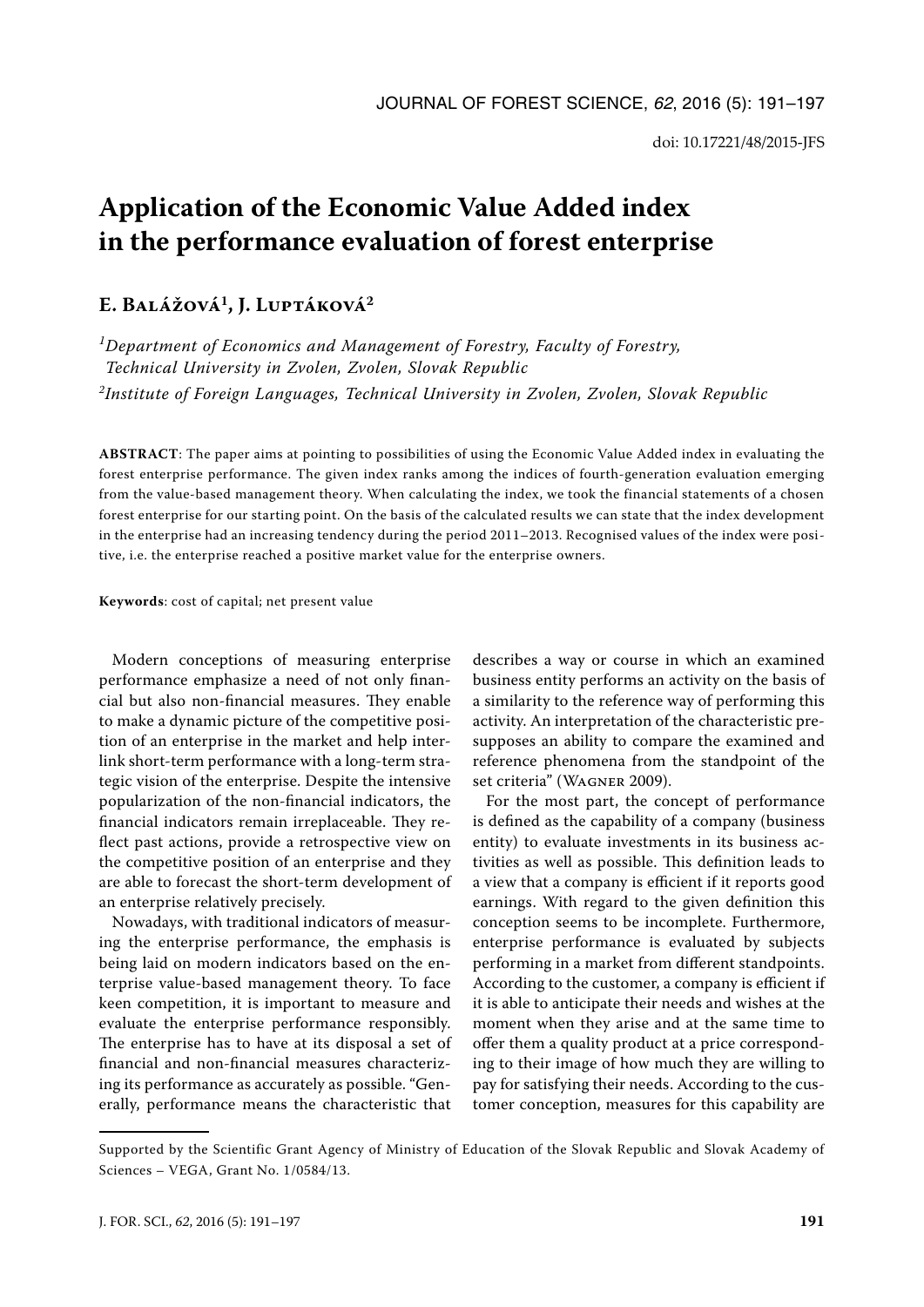# **Application of the Economic Value Added index in the performance evaluation of forest enterprise**

## **E. Balážová1, J. Luptáková2**

*1Department of Economics and Management of Forestry, Faculty of Forestry, Technical University in Zvolen, Zvolen, Slovak Republic 2Institute of Foreign Languages, Technical University in Zvolen, Zvolen, Slovak Republic*

**ABSTRACT**: The paper aims at pointing to possibilities of using the Economic Value Added index in evaluating the forest enterprise performance. The given index ranks among the indices of fourth-generation evaluation emerging from the value-based management theory. When calculating the index, we took the financial statements of a chosen forest enterprise for our starting point. On the basis of the calculated results we can state that the index development in the enterprise had an increasing tendency during the period 2011–2013. Recognised values of the index were positive, i.e. the enterprise reached a positive market value for the enterprise owners.

**Keywords**: cost of capital; net present value

Modern conceptions of measuring enterprise performance emphasize a need of not only financial but also non-financial measures. They enable to make a dynamic picture of the competitive position of an enterprise in the market and help interlink short-term performance with a long-term strategic vision of the enterprise. Despite the intensive popularization of the non-financial indicators, the financial indicators remain irreplaceable. They reflect past actions, provide a retrospective view on the competitive position of an enterprise and they are able to forecast the short-term development of an enterprise relatively precisely.

Nowadays, with traditional indicators of measuring the enterprise performance, the emphasis is being laid on modern indicators based on the enterprise value-based management theory. To face keen competition, it is important to measure and evaluate the enterprise performance responsibly. The enterprise has to have at its disposal a set of financial and non-financial measures characterizing its performance as accurately as possible. "Generally, performance means the characteristic that

describes a way or course in which an examined business entity performs an activity on the basis of a similarity to the reference way of performing this activity. An interpretation of the characteristic presupposes an ability to compare the examined and reference phenomena from the standpoint of the set criteria" (WAGNER 2009).

For the most part, the concept of performance is defined as the capability of a company (business entity) to evaluate investments in its business activities as well as possible. This definition leads to a view that a company is efficient if it reports good earnings. With regard to the given definition this conception seems to be incomplete. Furthermore, enterprise performance is evaluated by subjects performing in a market from different standpoints. According to the customer, a company is efficient if it is able to anticipate their needs and wishes at the moment when they arise and at the same time to offer them a quality product at a price corresponding to their image of how much they are willing to pay for satisfying their needs. According to the customer conception, measures for this capability are

Supported by the Scientific Grant Agency of Ministry of Education of the Slovak Republic and Slovak Academy of Sciences – VEGA, Grant No. 1/0584/13.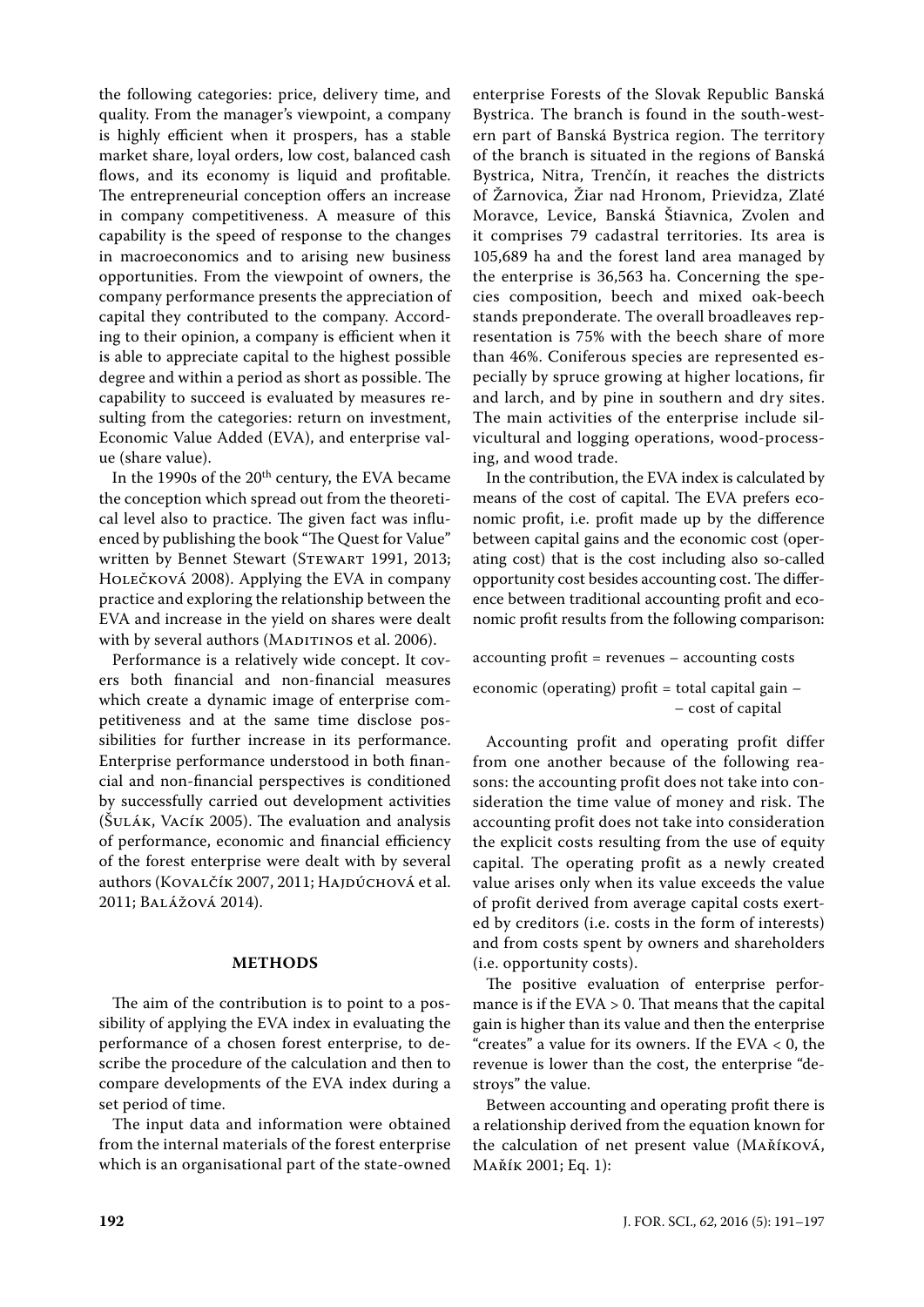the following categories: price, delivery time, and quality. From the manager's viewpoint, a company is highly efficient when it prospers, has a stable market share, loyal orders, low cost, balanced cash flows, and its economy is liquid and profitable. The entrepreneurial conception offers an increase in company competitiveness. A measure of this capability is the speed of response to the changes in macroeconomics and to arising new business opportunities. From the viewpoint of owners, the company performance presents the appreciation of capital they contributed to the company. According to their opinion, a company is efficient when it is able to appreciate capital to the highest possible degree and within a period as short as possible. The capability to succeed is evaluated by measures resulting from the categories: return on investment, Economic Value Added (EVA), and enterprise value (share value).

In the 1990s of the  $20<sup>th</sup>$  century, the EVA became the conception which spread out from the theoretical level also to practice. The given fact was influenced by publishing the book "The Quest for Value" written by Bennet Stewart (STEWART 1991, 2013; Holečková 2008). Applying the EVA in company practice and exploring the relationship between the EVA and increase in the yield on shares were dealt with by several authors (MADITINOS et al. 2006).

Performance is a relatively wide concept. It covers both financial and non-financial measures which create a dynamic image of enterprise competitiveness and at the same time disclose possibilities for further increase in its performance. Enterprise performance understood in both financial and non-financial perspectives is conditioned by successfully carried out development activities (Šulák, Vacík 2005). The evaluation and analysis of performance, economic and financial efficiency of the forest enterprise were dealt with by several authors (Kovalčík 2007, 2011; Hajdúchová et al. 2011; Balážová 2014).

## **METHODS**

The aim of the contribution is to point to a possibility of applying the EVA index in evaluating the performance of a chosen forest enterprise, to describe the procedure of the calculation and then to compare developments of the EVA index during a set period of time.

The input data and information were obtained from the internal materials of the forest enterprise which is an organisational part of the state-owned

enterprise Forests of the Slovak Republic Banská Bystrica. The branch is found in the south-western part of Banská Bystrica region. The territory of the branch is situated in the regions of Banská Bystrica, Nitra, Trenčín, it reaches the districts of Žarnovica, Žiar nad Hronom, Prievidza, Zlaté Moravce, Levice, Banská Štiavnica, Zvolen and it comprises 79 cadastral territories. Its area is 105,689 ha and the forest land area managed by the enterprise is 36,563 ha. Concerning the species composition, beech and mixed oak-beech stands preponderate. The overall broadleaves representation is 75% with the beech share of more than 46%. Coniferous species are represented especially by spruce growing at higher locations, fir and larch, and by pine in southern and dry sites. The main activities of the enterprise include silvicultural and logging operations, wood-processing, and wood trade.

In the contribution, the EVA index is calculated by means of the cost of capital. The EVA prefers economic profit, i.e. profit made up by the difference between capital gains and the economic cost (operating cost) that is the cost including also so-called opportunity cost besides accounting cost. The difference between traditional accounting profit and economic profit results from the following comparison:

```
accounting profit = revenues – accounting costs
economic (operating) profit = total capital gain –
```
– cost of capital

Accounting profit and operating profit differ from one another because of the following reasons: the accounting profit does not take into consideration the time value of money and risk. The accounting profit does not take into consideration the explicit costs resulting from the use of equity capital. The operating profit as a newly created value arises only when its value exceeds the value of profit derived from average capital costs exerted by creditors (i.e. costs in the form of interests) and from costs spent by owners and shareholders (i.e. opportunity costs).

The positive evaluation of enterprise performance is if the EVA  $> 0$ . That means that the capital gain is higher than its value and then the enterprise "creates" a value for its owners. If the EVA  $<$  0, the revenue is lower than the cost, the enterprise "destroys" the value.

Between accounting and operating profit there is a relationship derived from the equation known for the calculation of net present value (Maříková, Mařík 2001; Eq. 1):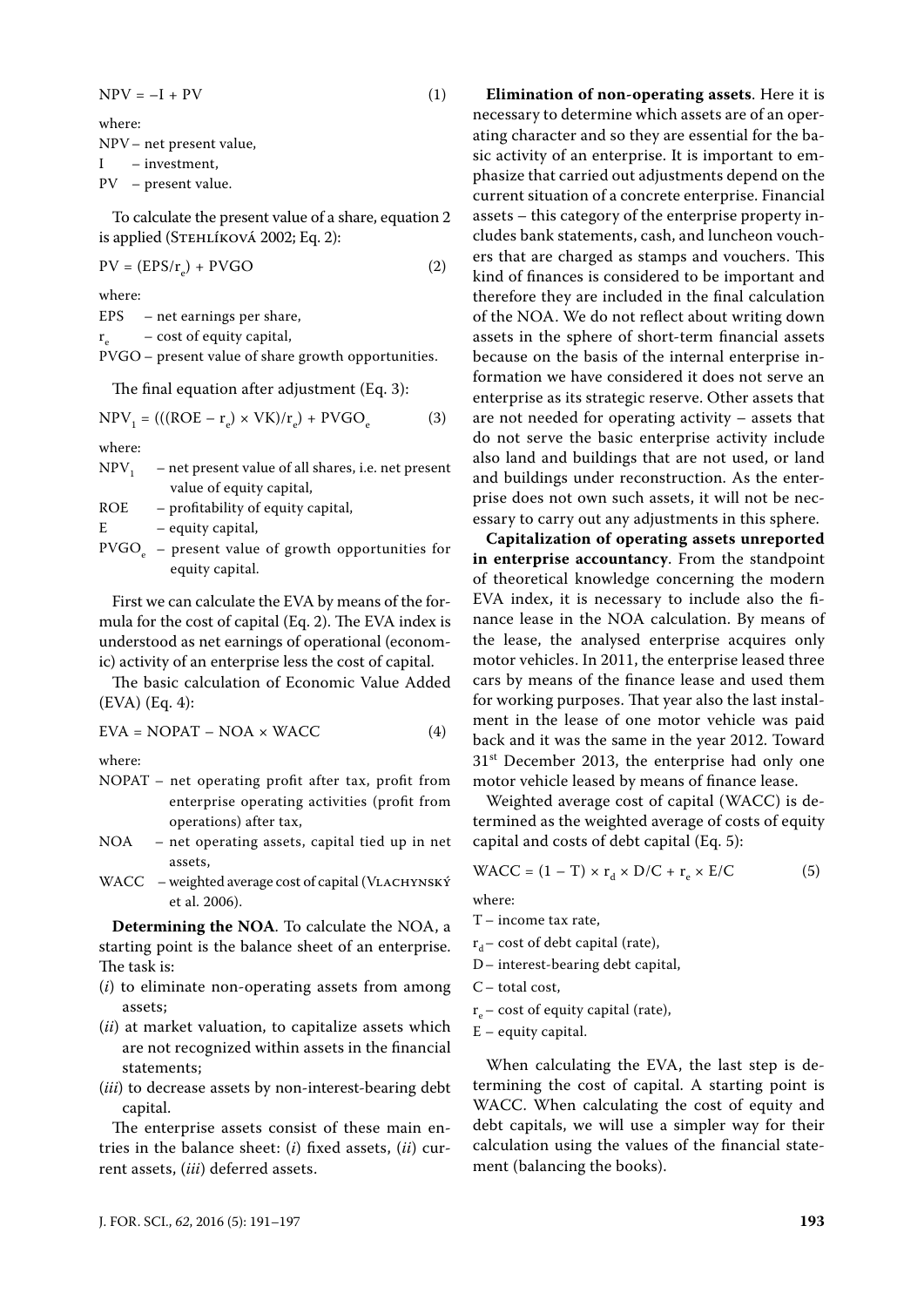where:

NPV– net present value, I – investment, PV – present value.

To calculate the present value of a share, equation 2 is applied (STEHLÍKOVÁ 2002; Eq. 2):

$$
PV = (EPS/r_e) + PVGO
$$
 (2)

where:

EPS – net earnings per share,  $r_{\rm c}$  – cost of equity capital, PVGO – present value of share growth opportunities.

The final equation after adjustment (Eq. 3):

$$
NPV_1 = (((ROE - r_e) \times VK)/r_e) + PVGO_e \tag{3}
$$

where:

| $NPV_1$ | - net present value of all shares, i.e. net present |  |  |
|---------|-----------------------------------------------------|--|--|
|         | value of equity capital,                            |  |  |
| ROE     | - profitability of equity capital,                  |  |  |
| E       | - equity capital,                                   |  |  |
| DUPO    | nuosant value of quanth annoutunities for           |  |  |

 $PVGO_e$  – present value of growth opportunities for equity capital.

First we can calculate the EVA by means of the formula for the cost of capital (Eq. 2). The EVA index is understood as net earnings of operational (economic) activity of an enterprise less the cost of capital.

The basic calculation of Economic Value Added (EVA) (Eq. 4):

 $EVA = NOPATH - NOA \times WACC$  (4)

where:

- NOPAT net operating profit after tax, profit from enterprise operating activities (profit from operations) after tax,
- NOA net operating assets, capital tied up in net assets,
- WACC weighted average cost of capital (VLACHYNSKÝ et al. 2006).

**Determining the NOA**. To calculate the NOA, a starting point is the balance sheet of an enterprise. The task is:

- (*i*) to eliminate non-operating assets from among assets;
- (*ii*) at market valuation, to capitalize assets which are not recognized within assets in the financial statements;
- (*iii*) to decrease assets by non-interest-bearing debt capital.

The enterprise assets consist of these main entries in the balance sheet: (*i*) fixed assets, (*ii*) current assets, (*iii*) deferred assets.

**Elimination of non-operating assets**. Here it is necessary to determine which assets are of an operating character and so they are essential for the basic activity of an enterprise. It is important to emphasize that carried out adjustments depend on the current situation of a concrete enterprise. Financial assets – this category of the enterprise property includes bank statements, cash, and luncheon vouchers that are charged as stamps and vouchers. This kind of finances is considered to be important and therefore they are included in the final calculation of the NOA. We do not reflect about writing down assets in the sphere of short-term financial assets because on the basis of the internal enterprise information we have considered it does not serve an enterprise as its strategic reserve. Other assets that are not needed for operating activity – assets that do not serve the basic enterprise activity include also land and buildings that are not used, or land and buildings under reconstruction. As the enterprise does not own such assets, it will not be necessary to carry out any adjustments in this sphere.

**Capitalization of operating assets unreported in enterprise accountancy**. From the standpoint of theoretical knowledge concerning the modern EVA index, it is necessary to include also the finance lease in the NOA calculation. By means of the lease, the analysed enterprise acquires only motor vehicles. In 2011, the enterprise leased three cars by means of the finance lease and used them for working purposes. That year also the last instalment in the lease of one motor vehicle was paid back and it was the same in the year 2012. Toward 31<sup>st</sup> December 2013, the enterprise had only one motor vehicle leased by means of finance lease.

Weighted average cost of capital (WACC) is determined as the weighted average of costs of equity capital and costs of debt capital (Eq. 5):

$$
WACC = (1 - T) \times r_d \times D/C + r_e \times E/C
$$
 (5)

where:

- T income tax rate,
- $r_d$  cost of debt capital (rate),
- D– interest-bearing debt capital,
- C– total cost,
- $r_e$  cost of equity capital (rate),
- E equity capital.

When calculating the EVA, the last step is determining the cost of capital. A starting point is WACC. When calculating the cost of equity and debt capitals, we will use a simpler way for their calculation using the values of the financial statement (balancing the books).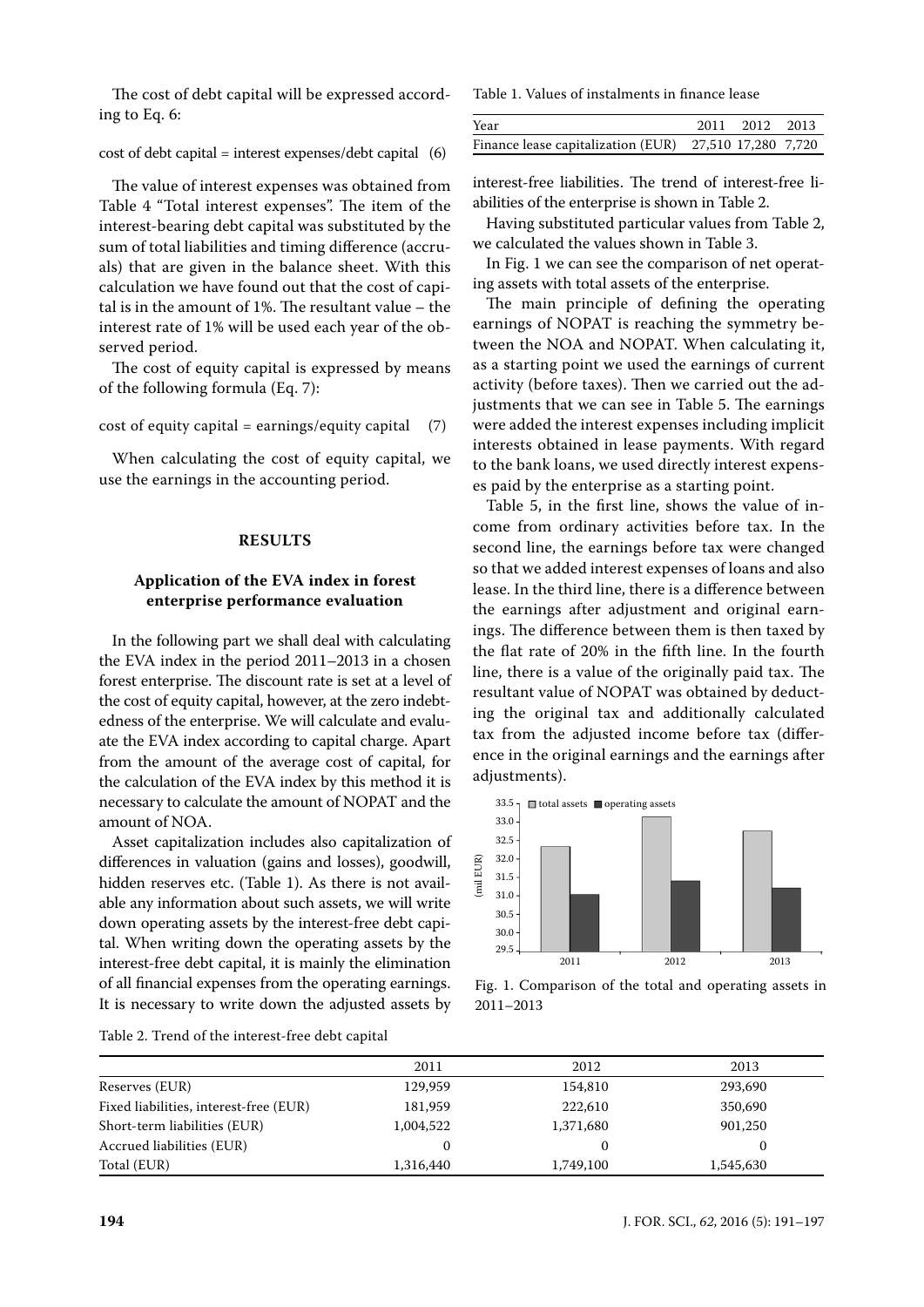The cost of debt capital will be expressed according to Eq. 6:

### cost of debt capital = interest expenses/debt capital (6)

The value of interest expenses was obtained from Table 4 "Total interest expenses". The item of the interest-bearing debt capital was substituted by the sum of total liabilities and timing difference (accruals) that are given in the balance sheet. With this calculation we have found out that the cost of capital is in the amount of 1%. The resultant value – the interest rate of 1% will be used each year of the observed period.

The cost of equity capital is expressed by means of the following formula (Eq. 7):

cost of equity capital = earnings/equity capital  $(7)$ 

When calculating the cost of equity capital, we use the earnings in the accounting period.

### **RESULTS**

## **Application of the EVA index in forest enterprise performance evaluation**

In the following part we shall deal with calculating the EVA index in the period 2011–2013 in a chosen forest enterprise. The discount rate is set at a level of the cost of equity capital, however, at the zero indebtedness of the enterprise. We will calculate and evaluate the EVA index according to capital charge. Apart from the amount of the average cost of capital, for the calculation of the EVA index by this method it is necessary to calculate the amount of NOPAT and the amount of NOA.

Asset capitalization includes also capitalization of differences in valuation (gains and losses), goodwill, hidden reserves etc. (Table 1). As there is not available any information about such assets, we will write down operating assets by the interest-free debt capital. When writing down the operating assets by the interest-free debt capital, it is mainly the elimination of all financial expenses from the operating earnings. It is necessary to write down the adjusted assets by Table 1. Values of instalments in finance lease

| Year                                                   | 2011 2012 2013 |  |
|--------------------------------------------------------|----------------|--|
| Finance lease capitalization (EUR) 27,510 17,280 7,720 |                |  |

interest-free liabilities. The trend of interest-free liabilities of the enterprise is shown in Table 2.

Having substituted particular values from Table 2, we calculated the values shown in Table 3.

In Fig. 1 we can see the comparison of net operating assets with total assets of the enterprise.

The main principle of defining the operating earnings of NOPAT is reaching the symmetry between the NOA and NOPAT. When calculating it, as a starting point we used the earnings of current activity (before taxes). Then we carried out the adjustments that we can see in Table 5. The earnings were added the interest expenses including implicit interests obtained in lease payments. With regard to the bank loans, we used directly interest expenses paid by the enterprise as a starting point.

Table 5, in the first line, shows the value of income from ordinary activities before tax. In the second line, the earnings before tax were changed so that we added interest expenses of loans and also lease. In the third line, there is a difference between the earnings after adjustment and original earnings. The difference between them is then taxed by the flat rate of 20% in the fifth line. In the fourth line, there is a value of the originally paid tax. The resultant value of NOPAT was obtained by deducting the original tax and additionally calculated tax from the adjusted income before tax (difference in the original earnings and the earnings after adjustments).



Fig. 1. Comparison of the total and operating assets in 2011–2013

Table 2. Trend of the interest-free debt capital

|                                        | 2011      | 2012      | 2013      |
|----------------------------------------|-----------|-----------|-----------|
| Reserves (EUR)                         | 129,959   | 154,810   | 293,690   |
| Fixed liabilities, interest-free (EUR) | 181,959   | 222,610   | 350,690   |
| Short-term liabilities (EUR)           | 1,004,522 | 1,371,680 | 901,250   |
| Accrued liabilities (EUR)              |           |           | $\Omega$  |
| Total (EUR)                            | 1,316,440 | 1,749,100 | 1,545,630 |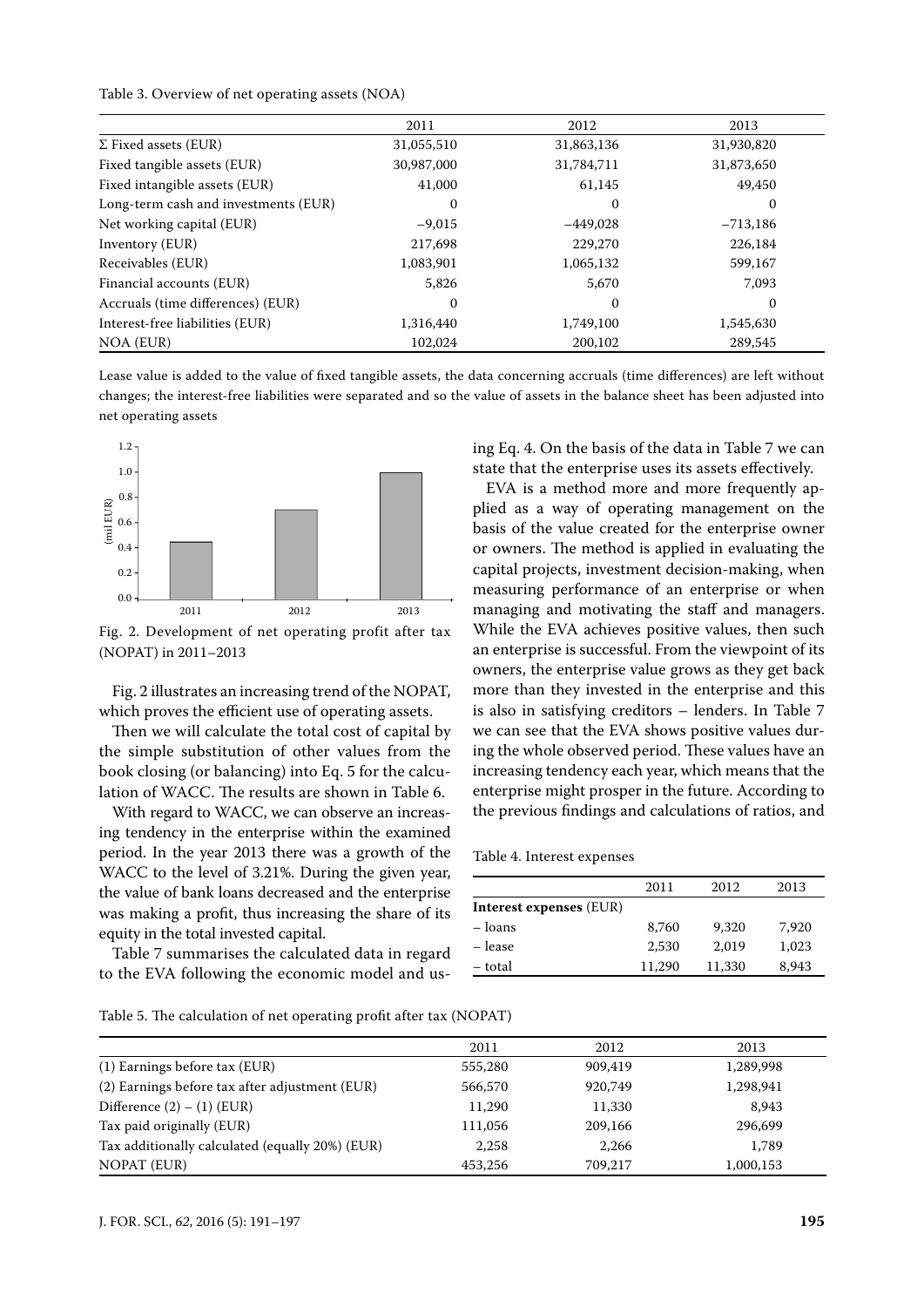#### Table 3. Overview of net operating assets (NOA)

|                                      | 2011         | 2012       | 2013       |
|--------------------------------------|--------------|------------|------------|
| $\Sigma$ Fixed assets (EUR)          | 31,055,510   | 31,863,136 | 31,930,820 |
| Fixed tangible assets (EUR)          | 30,987,000   | 31,784,711 | 31,873,650 |
| Fixed intangible assets (EUR)        | 41,000       | 61,145     | 49,450     |
| Long-term cash and investments (EUR) | 0            | $\Omega$   | $\Omega$   |
| Net working capital (EUR)            | $-9,015$     | $-449,028$ | $-713,186$ |
| Inventory (EUR)                      | 217,698      | 229,270    | 226,184    |
| Receivables (EUR)                    | 1,083,901    | 1,065,132  | 599,167    |
| Financial accounts (EUR)             | 5,826        | 5,670      | 7.093      |
| Accruals (time differences) (EUR)    | $\mathbf{0}$ | $\Omega$   | $\Omega$   |
| Interest-free liabilities (EUR)      | 1,316,440    | 1,749,100  | 1,545,630  |
| NOA (EUR)                            | 102,024      | 200,102    | 289,545    |

Lease value is added to the value of fixed tangible assets, the data concerning accruals (time differences) are left without changes; the interest-free liabilities were separated and so the value of assets in the balance sheet has been adjusted into net operating assets



Fig. 2. Development of net operating profit after tax (NOPAT) in 2011–2013

Fig. 2 illustrates an increasing trend of the NOPAT, which proves the efficient use of operating assets.

Then we will calculate the total cost of capital by the simple substitution of other values from the book closing (or balancing) into Eq. 5 for the calculation of WACC. The results are shown in Table 6.

With regard to WACC, we can observe an increasing tendency in the enterprise within the examined period. In the year 2013 there was a growth of the WACC to the level of 3.21%. During the given year, the value of bank loans decreased and the enterprise was making a profit, thus increasing the share of its equity in the total invested capital.

Table 7 summarises the calculated data in regard to the EVA following the economic model and using Eq. 4. On the basis of the data in Table 7 we can state that the enterprise uses its assets effectively.

EVA is a method more and more frequently applied as a way of operating management on the basis of the value created for the enterprise owner or owners. The method is applied in evaluating the capital projects, investment decision-making, when measuring performance of an enterprise or when managing and motivating the staff and managers. While the EVA achieves positive values, then such an enterprise is successful. From the viewpoint of its owners, the enterprise value grows as they get back more than they invested in the enterprise and this is also in satisfying creditors – lenders. In Table 7 we can see that the EVA shows positive values during the whole observed period. These values have an increasing tendency each year, which means that the enterprise might prosper in the future. According to the previous findings and calculations of ratios, and

Table 4. Interest expenses

|                                | 2011   | 2012   | 2013  |
|--------------------------------|--------|--------|-------|
| <b>Interest expenses</b> (EUR) |        |        |       |
| – loans                        | 8,760  | 9,320  | 7,920 |
| – lease                        | 2.530  | 2,019  | 1,023 |
| – total                        | 11,290 | 11,330 | 8,943 |
|                                |        |        |       |

Table 5. The calculation of net operating profit after tax (NOPAT)

|                                                 | 2011    | 2012    | 2013      |
|-------------------------------------------------|---------|---------|-----------|
| (1) Earnings before tax (EUR)                   | 555,280 | 909,419 | 1,289,998 |
| (2) Earnings before tax after adjustment (EUR)  | 566,570 | 920,749 | 1,298,941 |
| Difference $(2) - (1)$ (EUR)                    | 11,290  | 11,330  | 8,943     |
| Tax paid originally (EUR)                       | 111,056 | 209,166 | 296,699   |
| Tax additionally calculated (equally 20%) (EUR) | 2,258   | 2,266   | 1,789     |
| NOPAT (EUR)                                     | 453,256 | 709,217 | 1,000,153 |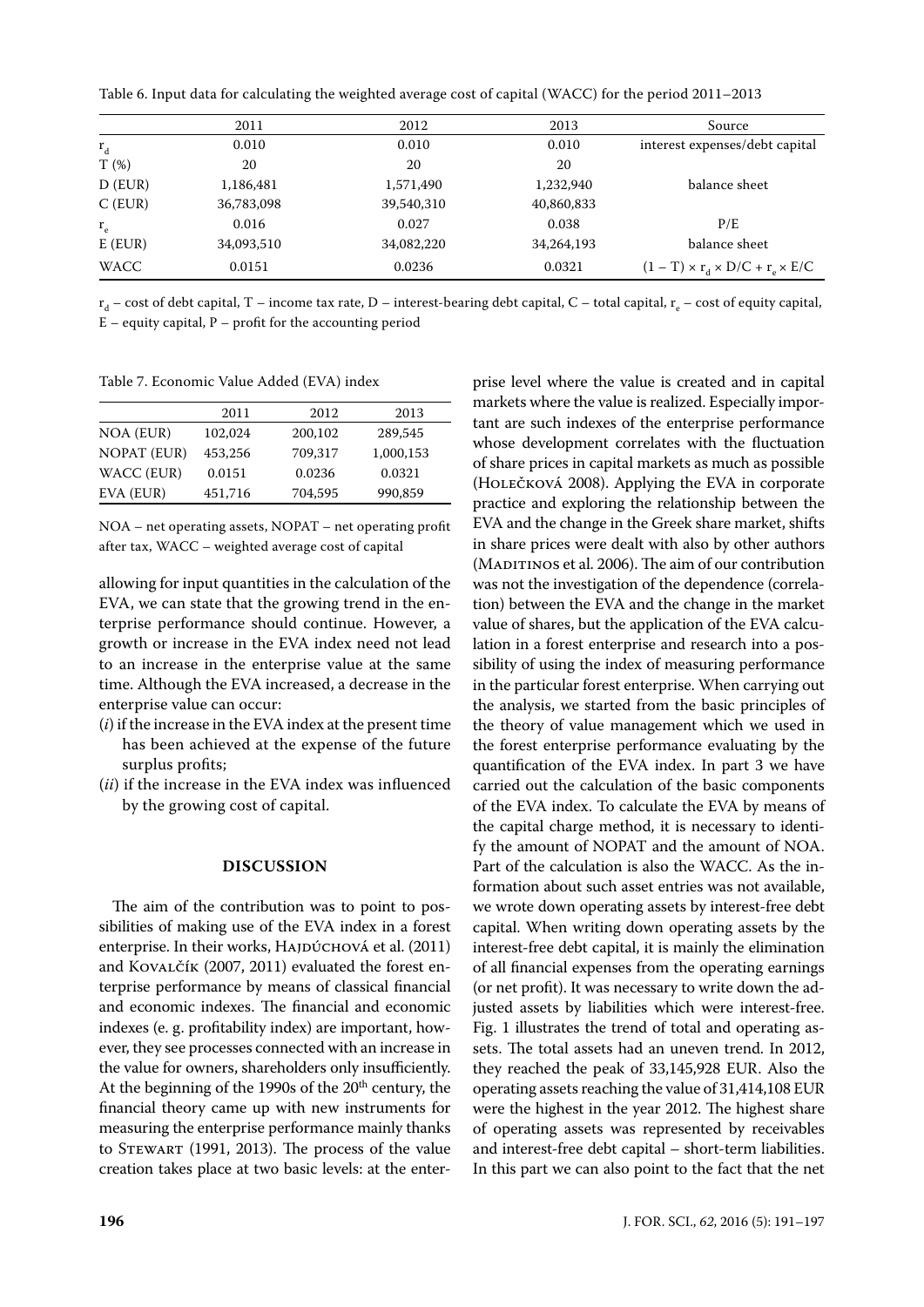Table 6. Input data for calculating the weighted average cost of capital (WACC) for the period 2011–2013

|             | 2011       | 2012       | 2013       | Source                                         |
|-------------|------------|------------|------------|------------------------------------------------|
|             |            |            |            |                                                |
| $r_{\rm d}$ | 0.010      | 0.010      | 0.010      | interest expenses/debt capital                 |
| $T(\%)$     | 20         | 20         | 20         |                                                |
| $D$ (EUR)   | 1,186,481  | 1,571,490  | 1,232,940  | balance sheet                                  |
| $C$ (EUR)   | 36,783,098 | 39,540,310 | 40,860,833 |                                                |
| $r_e$       | 0.016      | 0.027      | 0.038      | P/E                                            |
| $E$ (EUR)   | 34,093,510 | 34,082,220 | 34,264,193 | balance sheet                                  |
| WACC        | 0.0151     | 0.0236     | 0.0321     | $(1-T) \times r_a \times D/C + r_e \times E/C$ |

 $r_d$  – cost of debt capital, T – income tax rate, D – interest-bearing debt capital, C – total capital,  $r_e$  – cost of equity capital,  $E$  – equity capital,  $P$  – profit for the accounting period

Table 7. Economic Value Added (EVA) index

|             | 2011    | 2012    | 2013      |
|-------------|---------|---------|-----------|
| NOA (EUR)   | 102,024 | 200,102 | 289,545   |
| NOPAT (EUR) | 453,256 | 709,317 | 1,000,153 |
| WACC (EUR)  | 0.0151  | 0.0236  | 0.0321    |
| EVA (EUR)   | 451,716 | 704,595 | 990,859   |

NOA – net operating assets, NOPAT – net operating profit after tax, WACC – weighted average cost of capital

allowing for input quantities in the calculation of the EVA, we can state that the growing trend in the enterprise performance should continue. However, a growth or increase in the EVA index need not lead to an increase in the enterprise value at the same time. Although the EVA increased, a decrease in the enterprise value can occur:

- (*i*) if the increase in the EVA index at the present time has been achieved at the expense of the future surplus profits;
- (*ii*) if the increase in the EVA index was influenced by the growing cost of capital.

## **DISCUSSION**

The aim of the contribution was to point to possibilities of making use of the EVA index in a forest enterprise. In their works, HAJDÚCHOVÁ et al. (2011) and Kovalčík (2007, 2011) evaluated the forest enterprise performance by means of classical financial and economic indexes. The financial and economic indexes (e. g. profitability index) are important, however, they see processes connected with an increase in the value for owners, shareholders only insufficiently. At the beginning of the 1990s of the  $20<sup>th</sup>$  century, the financial theory came up with new instruments for measuring the enterprise performance mainly thanks to Stewart (1991, 2013). The process of the value creation takes place at two basic levels: at the enter-

prise level where the value is created and in capital markets where the value is realized. Especially important are such indexes of the enterprise performance whose development correlates with the fluctuation of share prices in capital markets as much as possible (Holečková 2008). Applying the EVA in corporate practice and exploring the relationship between the EVA and the change in the Greek share market, shifts in share prices were dealt with also by other authors (MADITINOS et al. 2006). The aim of our contribution was not the investigation of the dependence (correlation) between the EVA and the change in the market value of shares, but the application of the EVA calculation in a forest enterprise and research into a possibility of using the index of measuring performance in the particular forest enterprise. When carrying out the analysis, we started from the basic principles of the theory of value management which we used in the forest enterprise performance evaluating by the quantification of the EVA index. In part 3 we have carried out the calculation of the basic components of the EVA index. To calculate the EVA by means of the capital charge method, it is necessary to identify the amount of NOPAT and the amount of NOA. Part of the calculation is also the WACC. As the information about such asset entries was not available, we wrote down operating assets by interest-free debt capital. When writing down operating assets by the interest-free debt capital, it is mainly the elimination of all financial expenses from the operating earnings (or net profit). It was necessary to write down the adjusted assets by liabilities which were interest-free. Fig. 1 illustrates the trend of total and operating assets. The total assets had an uneven trend. In 2012, they reached the peak of 33,145,928 EUR. Also the operating assets reaching the value of 31,414,108 EUR were the highest in the year 2012. The highest share of operating assets was represented by receivables and interest-free debt capital – short-term liabilities. In this part we can also point to the fact that the net